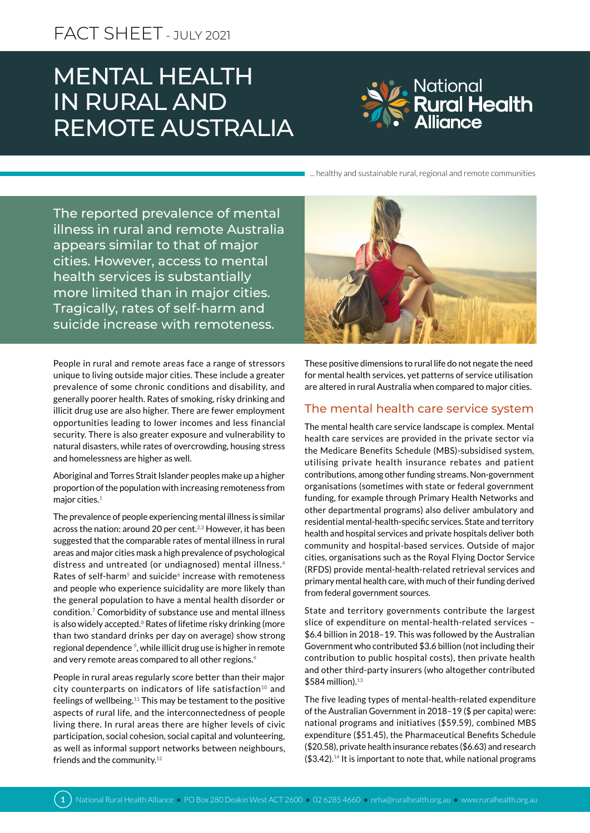# MENTAL HEALTH IN RURAL AND REMOTE AUSTRALIA



... healthy and sustainable rural, regional and remote communities

The reported prevalence of mental illness in rural and remote Australia appears similar to that of major cities. However, access to mental health services is substantially more limited than in major cities. Tragically, rates of self-harm and suicide increase with remoteness.

People in rural and remote areas face a range of stressors unique to living outside major cities. These include a greater prevalence of some chronic conditions and disability, and generally poorer health. Rates of smoking, risky drinking and illicit drug use are also higher. There are fewer employment opportunities leading to lower incomes and less financial security. There is also greater exposure and vulnerability to natural disasters, while rates of overcrowding, housing stress and homelessness are higher as well.

Aboriginal and Torres Strait Islander peoples make up a higher proportion of the population with increasing remoteness from major cities.**<sup>1</sup>**

The prevalence of people experiencing mental illness is similar across the nation: around 20 per cent.**2,3** However, it has been suggested that the comparable rates of mental illness in rural areas and major cities mask a high prevalence of psychological distress and untreated (or undiagnosed) mental illness.**<sup>4</sup>** Rates of self-harm**5** and suicide**6** increase with remoteness and people who experience suicidality are more likely than the general population to have a mental health disorder or condition.**7** Comorbidity of substance use and mental illness is also widely accepted.**8** Rates of lifetime risky drinking (more than two standard drinks per day on average) show strong regional dependence **9**, while illicit drug use is higher in remote and very remote areas compared to all other regions.**<sup>9</sup>**

People in rural areas regularly score better than their major city counterparts on indicators of life satisfaction**10** and feelings of wellbeing.**11** This may be testament to the positive aspects of rural life, and the interconnectedness of people living there. In rural areas there are higher levels of civic participation, social cohesion, social capital and volunteering, as well as informal support networks between neighbours, friends and the community.**<sup>12</sup>**



These positive dimensions to rural life do not negate the need for mental health services, yet patterns of service utilisation are altered in rural Australia when compared to major cities.

## The mental health care service system

The mental health care service landscape is complex. Mental health care services are provided in the private sector via the Medicare Benefits Schedule (MBS)-subsidised system, utilising private health insurance rebates and patient contributions, among other funding streams. Non-government organisations (sometimes with state or federal government funding, for example through Primary Health Networks and other departmental programs) also deliver ambulatory and residential mental-health-specific services. State and territory health and hospital services and private hospitals deliver both community and hospital-based services. Outside of major cities, organisations such as the Royal Flying Doctor Service (RFDS) provide mental-health-related retrieval services and primary mental health care, with much of their funding derived from federal government sources.

State and territory governments contribute the largest slice of expenditure on mental-health-related services – \$6.4 billion in 2018–19. This was followed by the Australian Government who contributed \$3.6 billion (not including their contribution to public hospital costs), then private health and other third-party insurers (who altogether contributed \$584 million).**<sup>13</sup>**

The five leading types of mental-health-related expenditure of the Australian Government in 2018–19 (\$ per capita) were: national programs and initiatives (\$59.59), combined MBS expenditure (\$51.45), the Pharmaceutical Benefits Schedule (\$20.58), private health insurance rebates (\$6.63) and research (\$3.42).**<sup>14</sup>** It is important to note that, while national programs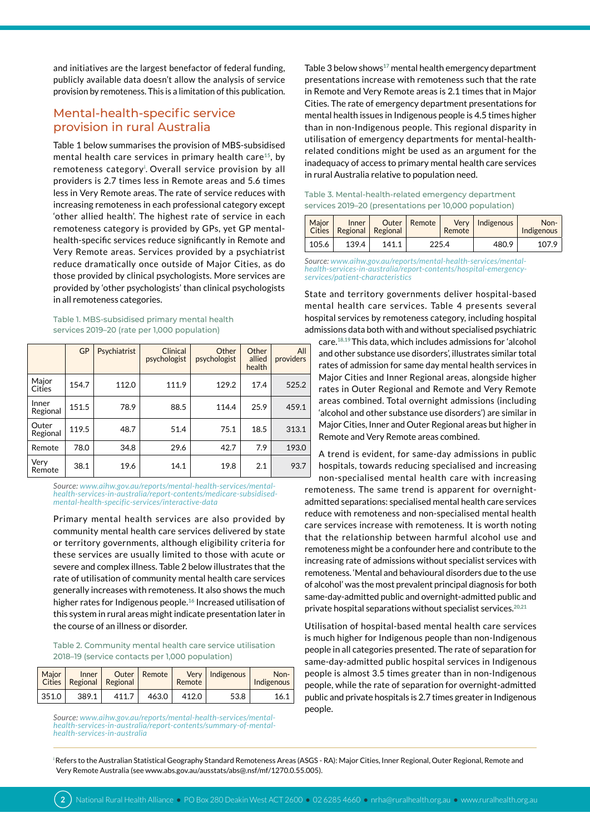and initiatives are the largest benefactor of federal funding, publicly available data doesn't allow the analysis of service provision by remoteness. This is a limitation of this publication.

# Mental-health-specific service provision in rural Australia

Table 1 below summarises the provision of MBS-subsidised mental health care services in primary health care**15**, by remoteness category**<sup>i</sup>** . Overall service provision by all providers is 2.7 times less in Remote areas and 5.6 times less in Very Remote areas. The rate of service reduces with increasing remoteness in each professional category except 'other allied health'. The highest rate of service in each remoteness category is provided by GPs, yet GP mentalhealth-specific services reduce significantly in Remote and Very Remote areas. Services provided by a psychiatrist reduce dramatically once outside of Major Cities, as do those provided by clinical psychologists. More services are provided by 'other psychologists' than clinical psychologists in all remoteness categories.

Table 1. MBS-subsidised primary mental health services 2019–20 (rate per 1,000 population)

|                   | GP    | Psychiatrist | Clinical<br>psychologist | Other<br>psychologist | Other<br>allied<br>health | All<br>providers |
|-------------------|-------|--------------|--------------------------|-----------------------|---------------------------|------------------|
| Major<br>Cities   | 154.7 | 112.0        | 111.9                    | 129.2                 | 17.4                      | 525.2            |
| Inner<br>Regional | 151.5 | 78.9         | 88.5                     | 114.4                 | 25.9                      | 459.1            |
| Outer<br>Regional | 119.5 | 48.7         | 51.4                     | 75.1                  | 18.5                      | 313.1            |
| Remote            | 78.0  | 34.8         | 29.6                     | 42.7                  | 7.9                       | 193.0            |
| Very<br>Remote    | 38.1  | 19.6         | 14.1                     | 19.8                  | 2.1                       | 93.7             |

*Source: [www.aihw.gov.au/reports/mental-health-services/mental](https://www.aihw.gov.au/reports/mental-health-services/mental-health-services-in-australia/report-contents/medicare-subsidised-mental-health-specific-services/interactive-data)[health-services-in-australia/report-contents/medicare-subsidised](https://www.aihw.gov.au/reports/mental-health-services/mental-health-services-in-australia/report-contents/medicare-subsidised-mental-health-specific-services/interactive-data)[mental-health-specific-services/interactive-data](https://www.aihw.gov.au/reports/mental-health-services/mental-health-services-in-australia/report-contents/medicare-subsidised-mental-health-specific-services/interactive-data)*

Primary mental health services are also provided by community mental health care services delivered by state or territory governments, although eligibility criteria for these services are usually limited to those with acute or severe and complex illness. Table 2 below illustrates that the rate of utilisation of community mental health care services generally increases with remoteness. It also shows the much higher rates for Indigenous people.**16** Increased utilisation of this system in rural areas might indicate presentation later in the course of an illness or disorder.

Table 2. Community mental health care service utilisation 2018–19 (service contacts per 1,000 population)

| Maior | Inner | Cities   Regional   Regional | Outer   Remote | Remote | Very   Indigenous | Non-<br>Indigenous |
|-------|-------|------------------------------|----------------|--------|-------------------|--------------------|
| 351.0 | 389.1 | 411.7                        | 463.0          | 412.0  | 53.8              | 16.1               |

*Source: [www.aihw.gov.au/reports/mental-health-services/mental](https://www.aihw.gov.au/reports/mental-health-services/mental-health-services-in-australia/report-contents/summary-of-mental-health-services-in-australia)[health-services-in-australia/report-contents/summary-of-mental](https://www.aihw.gov.au/reports/mental-health-services/mental-health-services-in-australia/report-contents/summary-of-mental-health-services-in-australia)[health-services-in-australia](https://www.aihw.gov.au/reports/mental-health-services/mental-health-services-in-australia/report-contents/summary-of-mental-health-services-in-australia)*

Table 3 below shows**17** mental health emergency department presentations increase with remoteness such that the rate in Remote and Very Remote areas is 2.1 times that in Major Cities. The rate of emergency department presentations for mental health issues in Indigenous people is 4.5 times higher than in non-Indigenous people. This regional disparity in utilisation of emergency departments for mental-healthrelated conditions might be used as an argument for the inadequacy of access to primary mental health care services in rural Australia relative to population need.

#### Table 3. Mental-health-related emergency department services 2019–20 (presentations per 10,000 population)

| Maior | Inner<br>Cities   Regional   Regional |       | Outer   Remote | Verv<br>Remote | Indigenous | Non-<br>Indigenous |
|-------|---------------------------------------|-------|----------------|----------------|------------|--------------------|
| 105.6 | 139.4                                 | 141.1 | 225.4          |                | 480.9      | 107.9              |

*Source: [www.aihw.gov.au/reports/mental-health-services/mental](https://www.aihw.gov.au/reports/mental-health-services/mental-health-services-in-australia/report-contents/hospital-emergency-services/patient-characteristics)[health-services-in-australia/report-contents/hospital-emergency](https://www.aihw.gov.au/reports/mental-health-services/mental-health-services-in-australia/report-contents/hospital-emergency-services/patient-characteristics)[services/patient-characteristics](https://www.aihw.gov.au/reports/mental-health-services/mental-health-services-in-australia/report-contents/hospital-emergency-services/patient-characteristics)*

State and territory governments deliver hospital-based mental health care services. Table 4 presents several hospital services by remoteness category, including hospital admissions data both with and without specialised psychiatric

care.**18,19**This data, which includes admissions for 'alcohol and other substance use disorders', illustrates similar total rates of admission for same day mental health services in Major Cities and Inner Regional areas, alongside higher rates in Outer Regional and Remote and Very Remote areas combined. Total overnight admissions (including 'alcohol and other substance use disorders') are similar in Major Cities, Inner and Outer Regional areas but higher in Remote and Very Remote areas combined.

A trend is evident, for same-day admissions in public hospitals, towards reducing specialised and increasing non-specialised mental health care with increasing remoteness. The same trend is apparent for overnightadmitted separations: specialised mental health care services reduce with remoteness and non-specialised mental health care services increase with remoteness. It is worth noting that the relationship between harmful alcohol use and remoteness might be a confounder here and contribute to the increasing rate of admissions without specialist services with remoteness. 'Mental and behavioural disorders due to the use of alcohol' was the most prevalent principal diagnosis for both same-day-admitted public and overnight-admitted public and private hospital separations without specialist services.**20,21**

Utilisation of hospital-based mental health care services is much higher for Indigenous people than non-Indigenous people in all categories presented. The rate of separation for same-day-admitted public hospital services in Indigenous people is almost 3.5 times greater than in non-Indigenous people, while the rate of separation for overnight-admitted public and private hospitals is 2.7 times greater in Indigenous people.

**<sup>i</sup>**Refers to the Australian Statistical Geography Standard Remoteness Areas (ASGS - RA): Major Cities, Inner Regional, Outer Regional, Remote and Very Remote Australia (see [www.abs.gov.au/ausstats/abs@.nsf/mf/1270.0.55.005\)](https://www.abs.gov.au/ausstats/abs@.nsf/mf/1270.0.55.005).

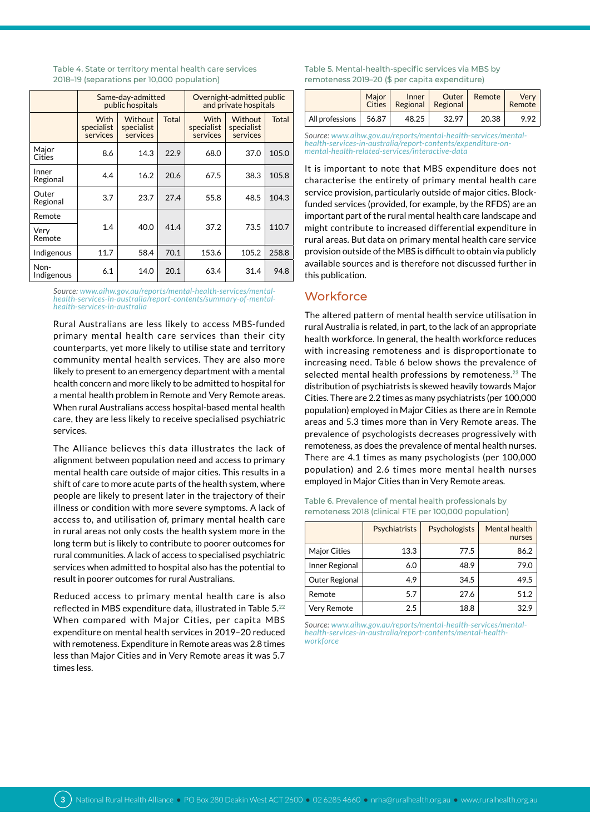|                    | Same-day-admitted<br>public hospitals |                                   |              | Overnight-admitted public<br>and private hospitals |                                   |              |  |
|--------------------|---------------------------------------|-----------------------------------|--------------|----------------------------------------------------|-----------------------------------|--------------|--|
|                    | <b>With</b><br>specialist<br>services | Without<br>specialist<br>services | <b>Total</b> | With<br>specialist<br>services                     | Without<br>specialist<br>services | <b>Total</b> |  |
| Major<br>Cities    | 8.6                                   | 14.3                              | 22.9         | 68.0                                               | 37.0                              | 105.0        |  |
| Inner<br>Regional  | 4.4                                   | 16.2                              | 20.6         | 67.5                                               | 38.3                              | 105.8        |  |
| Outer<br>Regional  | 3.7                                   | 23.7                              | 27.4         | 55.8                                               | 48.5                              | 104.3        |  |
| Remote             |                                       |                                   |              |                                                    |                                   |              |  |
| Very<br>Remote     | 1.4                                   | 40.0                              | 41.4         | 37.2                                               | 73.5                              | 110.7        |  |
| Indigenous         | 11.7                                  | 58.4                              | 70.1         | 153.6                                              | 105.2                             | 258.8        |  |
| Non-<br>Indigenous | 6.1                                   | 14.0                              | 20.1         | 63.4                                               | 31.4                              | 94.8         |  |

#### Table 4. State or territory mental health care services 2018–19 (separations per 10,000 population)

*Source: [www.aihw.gov.au/reports/mental-health-services/mental](https://www.aihw.gov.au/reports/mental-health-services/mental-health-services-in-australia/report-contents/summary-of-mental-health-services-in-australia)[health-services-in-australia/report-contents/summary-of-mental](https://www.aihw.gov.au/reports/mental-health-services/mental-health-services-in-australia/report-contents/summary-of-mental-health-services-in-australia)[health-services-in-australia](https://www.aihw.gov.au/reports/mental-health-services/mental-health-services-in-australia/report-contents/summary-of-mental-health-services-in-australia)*

Rural Australians are less likely to access MBS-funded primary mental health care services than their city counterparts, yet more likely to utilise state and territory community mental health services. They are also more likely to present to an emergency department with a mental health concern and more likely to be admitted to hospital for a mental health problem in Remote and Very Remote areas. When rural Australians access hospital-based mental health care, they are less likely to receive specialised psychiatric services.

The Alliance believes this data illustrates the lack of alignment between population need and access to primary mental health care outside of major cities. This results in a shift of care to more acute parts of the health system, where people are likely to present later in the trajectory of their illness or condition with more severe symptoms. A lack of access to, and utilisation of, primary mental health care in rural areas not only costs the health system more in the long term but is likely to contribute to poorer outcomes for rural communities. A lack of access to specialised psychiatric services when admitted to hospital also has the potential to result in poorer outcomes for rural Australians.

Reduced access to primary mental health care is also reflected in MBS expenditure data, illustrated in Table 5.**<sup>22</sup>** When compared with Major Cities, per capita MBS expenditure on mental health services in 2019–20 reduced with remoteness. Expenditure in Remote areas was 2.8 times less than Major Cities and in Very Remote areas it was 5.7 times less.

Table 5. Mental-health-specific services via MBS by remoteness 2019–20 (\$ per capita expenditure)

|                 | Maior<br><b>Cities</b> | Inner | Outer<br>Regional   Regional | Remote | Verv<br>Remote |
|-----------------|------------------------|-------|------------------------------|--------|----------------|
| All professions | 56.87                  | 48.25 | 32.97                        | 20.38  | 992            |

*Source: [www.aihw.gov.au/reports/mental-health-services/mental](https://www.aihw.gov.au/reports/mental-health-services/mental-health-services-in-australia/report-contents/expenditure-on-mental-health-related-services/interactive-data)[health-services-in-australia/report-contents/expenditure-on](https://www.aihw.gov.au/reports/mental-health-services/mental-health-services-in-australia/report-contents/expenditure-on-mental-health-related-services/interactive-data)[mental-health-related-services/interactive-data](https://www.aihw.gov.au/reports/mental-health-services/mental-health-services-in-australia/report-contents/expenditure-on-mental-health-related-services/interactive-data)*

It is important to note that MBS expenditure does not characterise the entirety of primary mental health care service provision, particularly outside of major cities. Blockfunded services (provided, for example, by the RFDS) are an important part of the rural mental health care landscape and might contribute to increased differential expenditure in rural areas. But data on primary mental health care service provision outside of the MBS is difficult to obtain via publicly available sources and is therefore not discussed further in this publication.

## **Workforce**

The altered pattern of mental health service utilisation in rural Australia is related, in part, to the lack of an appropriate health workforce. In general, the health workforce reduces with increasing remoteness and is disproportionate to increasing need. Table 6 below shows the prevalence of selected mental health professions by remoteness.**23** The distribution of psychiatrists is skewed heavily towards Major Cities. There are 2.2 times as many psychiatrists (per 100,000 population) employed in Major Cities as there are in Remote areas and 5.3 times more than in Very Remote areas. The prevalence of psychologists decreases progressively with remoteness, as does the prevalence of mental health nurses. There are 4.1 times as many psychologists (per 100,000 population) and 2.6 times more mental health nurses employed in Major Cities than in Very Remote areas.

|                                                       |  | Psychiatrists Psychologists Mentalh |  |  |
|-------------------------------------------------------|--|-------------------------------------|--|--|
| remoteness 2018 (clinical FTE per 100,000 population) |  |                                     |  |  |
| Table 6. Prevalence of mental health professionals by |  |                                     |  |  |

|                    | Psychiatrists | Psychologists | Mental health<br>nurses |
|--------------------|---------------|---------------|-------------------------|
| Major Cities       | 13.3          | 77.5          | 86.2                    |
| Inner Regional     | 6.0           | 48.9          | 79.0                    |
| Outer Regional     | 4.9           | 34.5          | 49.5                    |
| Remote             | 5.7           | 27.6          | 51.2                    |
| <b>Verv Remote</b> | 2.5           | 18.8          | 32.9                    |

*Source: [www.aihw.gov.au/reports/mental-health-services/mental](https://www.aihw.gov.au/reports/mental-health-services/mental-health-services-in-australia/report-contents/mental-health-workforce)[health-services-in-australia/report-contents/mental-health](https://www.aihw.gov.au/reports/mental-health-services/mental-health-services-in-australia/report-contents/mental-health-workforce)[workforce](https://www.aihw.gov.au/reports/mental-health-services/mental-health-services-in-australia/report-contents/mental-health-workforce)*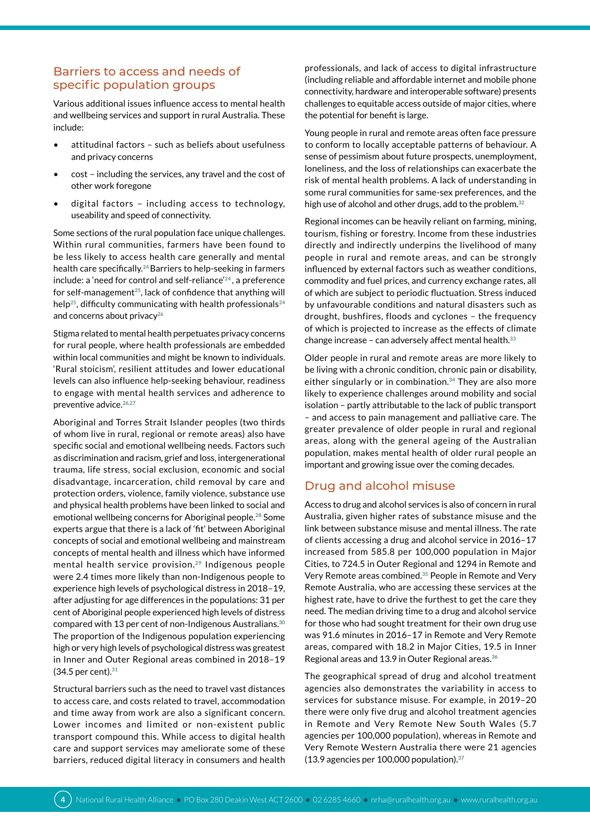# Barriers to access and needs of specific population groups

Various additional issues influence access to mental health and wellbeing services and support in rural Australia. These include:

- attitudinal factors such as beliefs about usefulness and privacy concerns
- cost including the services, any travel and the cost of other work foregone
- digital factors including access to technology, useability and speed of connectivity.

Some sections of the rural population face unique challenges. Within rural communities, farmers have been found to be less likely to access health care generally and mental health care specifically.**24** Barriers to help-seeking in farmers include: a 'need for control and self-reliance'**24** , a preference for self-management**25**, lack of confidence that anything will help**25**, difficulty communicating with health professionals**<sup>24</sup>** and concerns about privacy**<sup>26</sup>**

Stigma related to mental health perpetuates privacy concerns for rural people, where health professionals are embedded within local communities and might be known to individuals. 'Rural stoicism', resilient attitudes and lower educational levels can also influence help-seeking behaviour, readiness to engage with mental health services and adherence to preventive advice.**26,27**

Aboriginal and Torres Strait Islander peoples (two thirds of whom live in rural, regional or remote areas) also have specific social and emotional wellbeing needs. Factors such as discrimination and racism, grief and loss, intergenerational trauma, life stress, social exclusion, economic and social disadvantage, incarceration, child removal by care and protection orders, violence, family violence, substance use and physical health problems have been linked to social and emotional wellbeing concerns for Aboriginal people.**28** Some experts argue that there is a lack of 'fit' between Aboriginal concepts of social and emotional wellbeing and mainstream concepts of mental health and illness which have informed mental health service provision.**29** Indigenous people were 2.4 times more likely than non-Indigenous people to experience high levels of psychological distress in 2018–19, after adjusting for age differences in the populations: 31 per cent of Aboriginal people experienced high levels of distress compared with 13 per cent of non-Indigenous Australians.**<sup>30</sup>** The proportion of the Indigenous population experiencing high or very high levels of psychological distress was greatest in Inner and Outer Regional areas combined in 2018–19 (34.5 per cent).**<sup>31</sup>**

Structural barriers such as the need to travel vast distances to access care, and costs related to travel, accommodation and time away from work are also a significant concern. Lower incomes and limited or non-existent public transport compound this. While access to digital health care and support services may ameliorate some of these barriers, reduced digital literacy in consumers and health

professionals, and lack of access to digital infrastructure (including reliable and affordable internet and mobile phone connectivity, hardware and interoperable software) presents challenges to equitable access outside of major cities, where the potential for benefit is large.

Young people in rural and remote areas often face pressure to conform to locally acceptable patterns of behaviour. A sense of pessimism about future prospects, unemployment, loneliness, and the loss of relationships can exacerbate the risk of mental health problems. A lack of understanding in some rural communities for same-sex preferences, and the high use of alcohol and other drugs, add to the problem.**<sup>32</sup>**

Regional incomes can be heavily reliant on farming, mining, tourism, fishing or forestry. Income from these industries directly and indirectly underpins the livelihood of many people in rural and remote areas, and can be strongly influenced by external factors such as weather conditions, commodity and fuel prices, and currency exchange rates, all of which are subject to periodic fluctuation. Stress induced by unfavourable conditions and natural disasters such as drought, bushfires, floods and cyclones – the frequency of which is projected to increase as the effects of climate change increase – can adversely affect mental health.**<sup>33</sup>**

Older people in rural and remote areas are more likely to be living with a chronic condition, chronic pain or disability, either singularly or in combination.**34** They are also more likely to experience challenges around mobility and social isolation – partly attributable to the lack of public transport – and access to pain management and palliative care. The greater prevalence of older people in rural and regional areas, along with the general ageing of the Australian population, makes mental health of older rural people an important and growing issue over the coming decades.

# Drug and alcohol misuse

Access to drug and alcohol services is also of concern in rural Australia, given higher rates of substance misuse and the link between substance misuse and mental illness. The rate of clients accessing a drug and alcohol service in 2016–17 increased from 585.8 per 100,000 population in Major Cities, to 724.5 in Outer Regional and 1294 in Remote and Very Remote areas combined.**35** People in Remote and Very Remote Australia, who are accessing these services at the highest rate, have to drive the furthest to get the care they need. The median driving time to a drug and alcohol service for those who had sought treatment for their own drug use was 91.6 minutes in 2016–17 in Remote and Very Remote areas, compared with 18.2 in Major Cities, 19.5 in Inner Regional areas and 13.9 in Outer Regional areas.**<sup>36</sup>**

The geographical spread of drug and alcohol treatment agencies also demonstrates the variability in access to services for substance misuse. For example, in 2019–20 there were only five drug and alcohol treatment agencies in Remote and Very Remote New South Wales (5.7 agencies per 100,000 population), whereas in Remote and Very Remote Western Australia there were 21 agencies (13.9 agencies per 100,000 population).**37**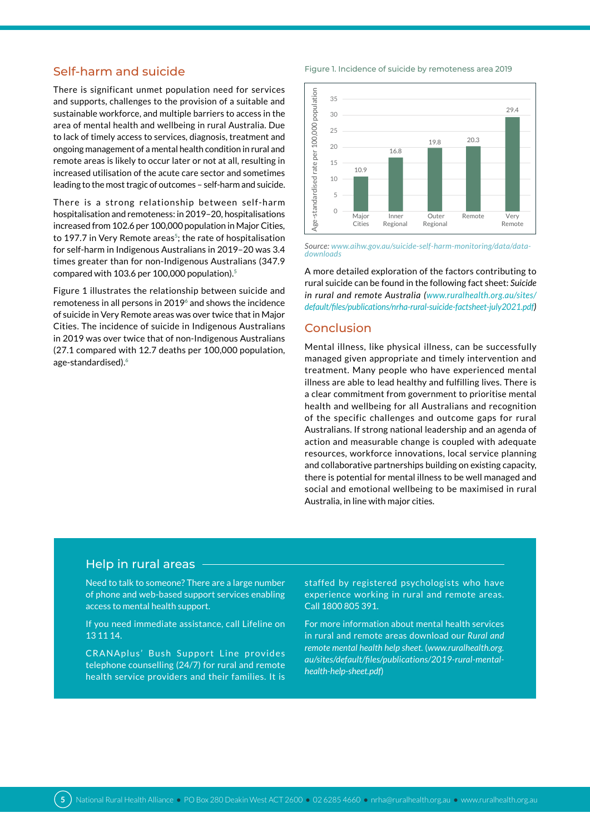# Self-harm and suicide

There is significant unmet population need for services and supports, challenges to the provision of a suitable and sustainable workforce, and multiple barriers to access in the area of mental health and wellbeing in rural Australia. Due to lack of timely access to services, diagnosis, treatment and ongoing management of a mental health condition in rural and remote areas is likely to occur later or not at all, resulting in increased utilisation of the acute care sector and sometimes leading to the most tragic of outcomes – self-harm and suicide.

There is a strong relationship between self-harm hospitalisation and remoteness: in 2019–20, hospitalisations increased from 102.6 per 100,000 population in Major Cities, to 197.7 in Very Remote areas<sup>5</sup>; the rate of hospitalisation for self-harm in Indigenous Australians in 2019–20 was 3.4 times greater than for non-Indigenous Australians (347.9 compared with 103.6 per 100,000 population).**<sup>5</sup>**

Figure 1 illustrates the relationship between suicide and remoteness in all persons in 2019**6** and shows the incidence of suicide in Very Remote areas was over twice that in Major Cities. The incidence of suicide in Indigenous Australians in 2019 was over twice that of non-Indigenous Australians (27.1 compared with 12.7 deaths per 100,000 population, age-standardised).**<sup>6</sup>**

#### Figure 1. Incidence of suicide by remoteness area 2019



*Source: [www.aihw.gov.au/suicide-self-harm-monitoring/data/data](https://www.aihw.gov.au/suicide-self-harm-monitoring/data/data-downloads)[downloads](https://www.aihw.gov.au/suicide-self-harm-monitoring/data/data-downloads)*

A more detailed exploration of the factors contributing to rural suicide can be found in the following fact sheet: *Suicide in rural and remote Australia ([www.ruralhealth.org.au/sites/](https://www.ruralhealth.org.au/sites/default/files/publications/nrha-rural-suicide-factsheet-july2021.pdf) [default/files/publications/nrha-rural-suicide-factsheet-july2021.pdf](https://www.ruralhealth.org.au/sites/default/files/publications/nrha-rural-suicide-factsheet-july2021.pdf))*

### Conclusion

Mental illness, like physical illness, can be successfully managed given appropriate and timely intervention and treatment. Many people who have experienced mental illness are able to lead healthy and fulfilling lives. There is a clear commitment from government to prioritise mental health and wellbeing for all Australians and recognition of the specific challenges and outcome gaps for rural Australians. If strong national leadership and an agenda of action and measurable change is coupled with adequate resources, workforce innovations, local service planning and collaborative partnerships building on existing capacity, there is potential for mental illness to be well managed and social and emotional wellbeing to be maximised in rural Australia, in line with major cities.

# Help in rural areas

Need to talk to someone? There are a large number of phone and web-based support services enabling access to mental health support.

If you need immediate assistance, call Lifeline on 13 11 14.

CRANAplus' Bush Support Line provides telephone counselling (24/7) for rural and remote health service providers and their families. It is staffed by registered psychologists who have experience working in rural and remote areas. Call 1800 805 391.

For more information about mental health services in rural and remote areas download our *Rural and remote mental health help sheet.* (*[www.ruralhealth.org.](https://www.ruralhealth.org.au/sites/default/files/publications/2019-rural-mental-health-help-sheet.) [au/sites/default/files/publications/2019-rural-mental](https://www.ruralhealth.org.au/sites/default/files/publications/2019-rural-mental-health-help-sheet.)[health-help-sheet.pdf](https://www.ruralhealth.org.au/sites/default/files/publications/2019-rural-mental-health-help-sheet.)*)